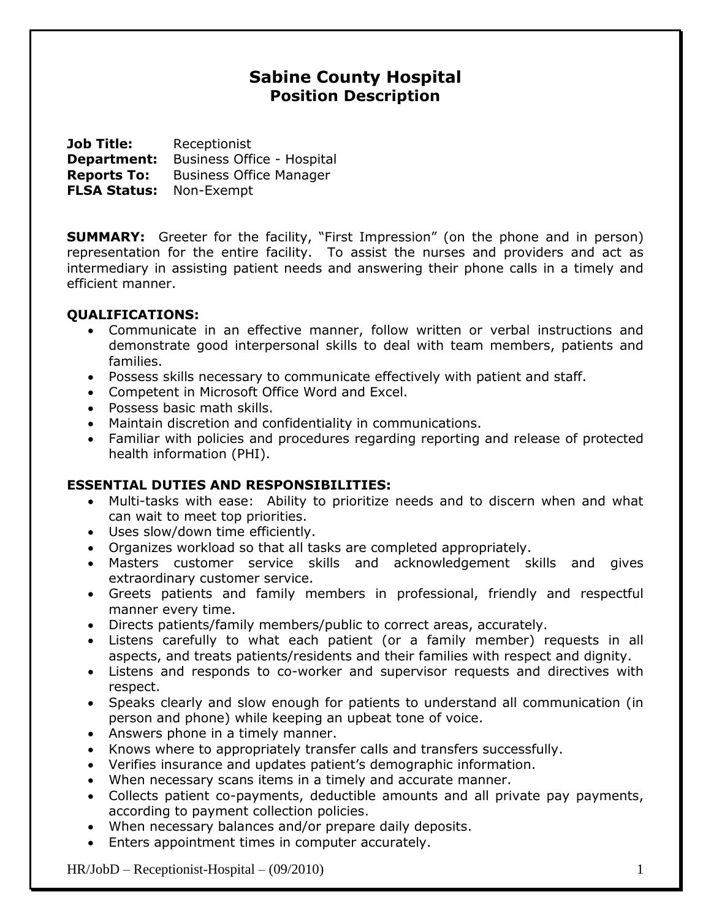# **Sabine County Hospital Position Description**

**Job Title:** Receptionist **Department:** Business Office - Hospital **Reports To:** Business Office Manager **FLSA Status:** Non-Exempt

**SUMMARY:** Greeter for the facility, "First Impression" (on the phone and in person) representation for the entire facility. To assist the nurses and providers and act as intermediary in assisting patient needs and answering their phone calls in a timely and efficient manner.

#### **QUALIFICATIONS:**

- Communicate in an effective manner, follow written or verbal instructions and demonstrate good interpersonal skills to deal with team members, patients and families.
- Possess skills necessary to communicate effectively with patient and staff.
- Competent in Microsoft Office Word and Excel.
- Possess basic math skills.
- Maintain discretion and confidentiality in communications.
- Familiar with policies and procedures regarding reporting and release of protected health information (PHI).

## **ESSENTIAL DUTIES AND RESPONSIBILITIES:**

- Multi-tasks with ease: Ability to prioritize needs and to discern when and what can wait to meet top priorities.
- Uses slow/down time efficiently.
- Organizes workload so that all tasks are completed appropriately.
- Masters customer service skills and acknowledgement skills and gives extraordinary customer service.
- Greets patients and family members in professional, friendly and respectful manner every time.
- Directs patients/family members/public to correct areas, accurately.
- Listens carefully to what each patient (or a family member) requests in all aspects, and treats patients/residents and their families with respect and dignity.
- Listens and responds to co-worker and supervisor requests and directives with respect.
- Speaks clearly and slow enough for patients to understand all communication (in person and phone) while keeping an upbeat tone of voice.
- Answers phone in a timely manner.
- Knows where to appropriately transfer calls and transfers successfully.
- Verifies insurance and updates patient's demographic information.
- When necessary scans items in a timely and accurate manner.
- Collects patient co-payments, deductible amounts and all private pay payments, according to payment collection policies.
- When necessary balances and/or prepare daily deposits.
- Enters appointment times in computer accurately.

 $HR/JobD - Receptionist-Hospital - (09/2010)$  1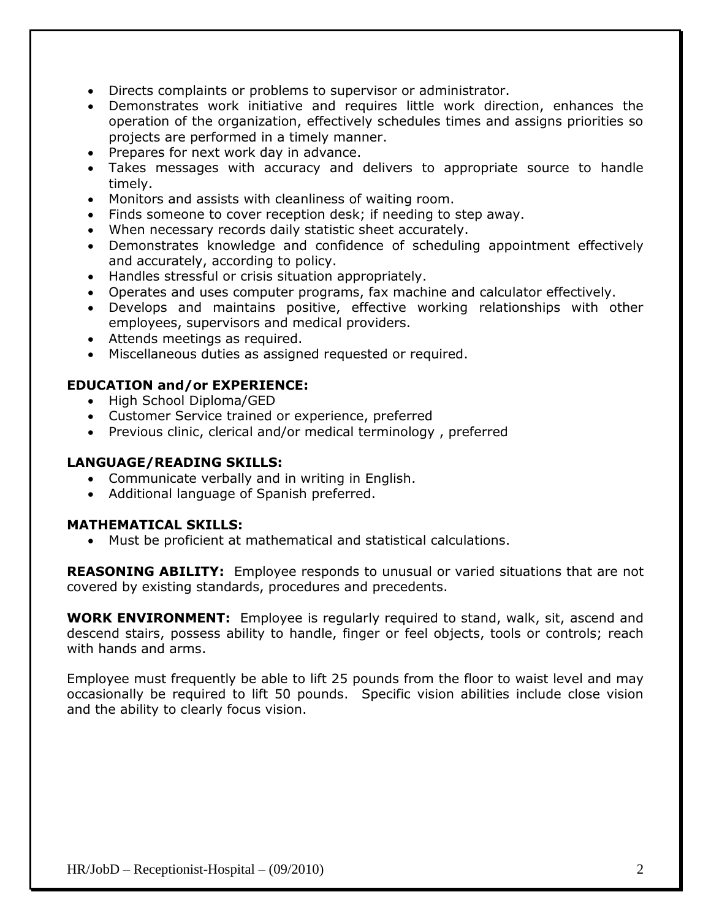- Directs complaints or problems to supervisor or administrator.
- Demonstrates work initiative and requires little work direction, enhances the operation of the organization, effectively schedules times and assigns priorities so projects are performed in a timely manner.
- Prepares for next work day in advance.
- Takes messages with accuracy and delivers to appropriate source to handle timely.
- Monitors and assists with cleanliness of waiting room.
- Finds someone to cover reception desk; if needing to step away.
- When necessary records daily statistic sheet accurately.
- Demonstrates knowledge and confidence of scheduling appointment effectively and accurately, according to policy.
- Handles stressful or crisis situation appropriately.
- Operates and uses computer programs, fax machine and calculator effectively.
- Develops and maintains positive, effective working relationships with other employees, supervisors and medical providers.
- Attends meetings as required.
- Miscellaneous duties as assigned requested or required.

# **EDUCATION and/or EXPERIENCE:**

- High School Diploma/GED
- Customer Service trained or experience, preferred
- Previous clinic, clerical and/or medical terminology , preferred

### **LANGUAGE/READING SKILLS:**

- Communicate verbally and in writing in English.
- Additional language of Spanish preferred.

## **MATHEMATICAL SKILLS:**

Must be proficient at mathematical and statistical calculations.

**REASONING ABILITY:** Employee responds to unusual or varied situations that are not covered by existing standards, procedures and precedents.

**WORK ENVIRONMENT:** Employee is regularly required to stand, walk, sit, ascend and descend stairs, possess ability to handle, finger or feel objects, tools or controls; reach with hands and arms.

Employee must frequently be able to lift 25 pounds from the floor to waist level and may occasionally be required to lift 50 pounds. Specific vision abilities include close vision and the ability to clearly focus vision.